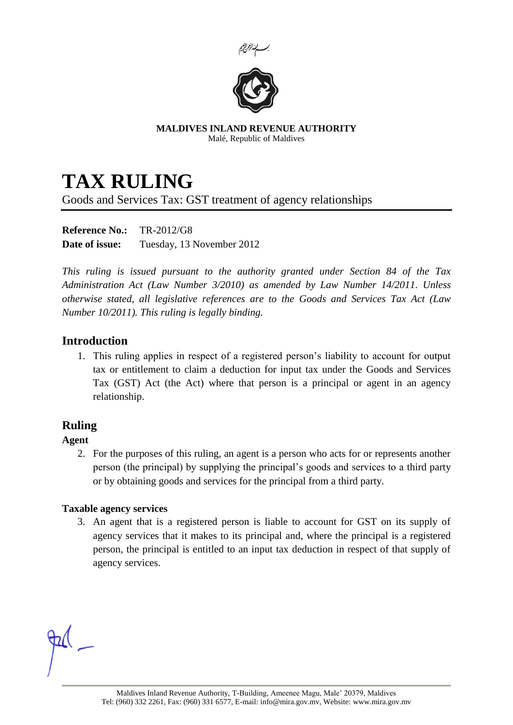



**MALDIVES INLAND REVENUE AUTHORITY** Malé, Republic of Maldives

# **TAX RULING**

Goods and Services Tax: GST treatment of agency relationships

**Reference No.:** TR-2012/G8 **Date of issue:** Tuesday, 13 November 2012

*This ruling is issued pursuant to the authority granted under Section 84 of the Tax Administration Act (Law Number 3/2010) as amended by Law Number 14/2011. Unless otherwise stated, all legislative references are to the Goods and Services Tax Act (Law Number 10/2011). This ruling is legally binding.*

# **Introduction**

1. This ruling applies in respect of a registered person's liability to account for output tax or entitlement to claim a deduction for input tax under the Goods and Services Tax (GST) Act (the Act) where that person is a principal or agent in an agency relationship.

# **Ruling**

## **Agent**

2. For the purposes of this ruling, an agent is a person who acts for or represents another person (the principal) by supplying the principal's goods and services to a third party or by obtaining goods and services for the principal from a third party.

#### <span id="page-0-0"></span>**Taxable agency services**

3. An agent that is a registered person is liable to account for GST on its supply of agency services that it makes to its principal and, where the principal is a registered person, the principal is entitled to an input tax deduction in respect of that supply of agency services.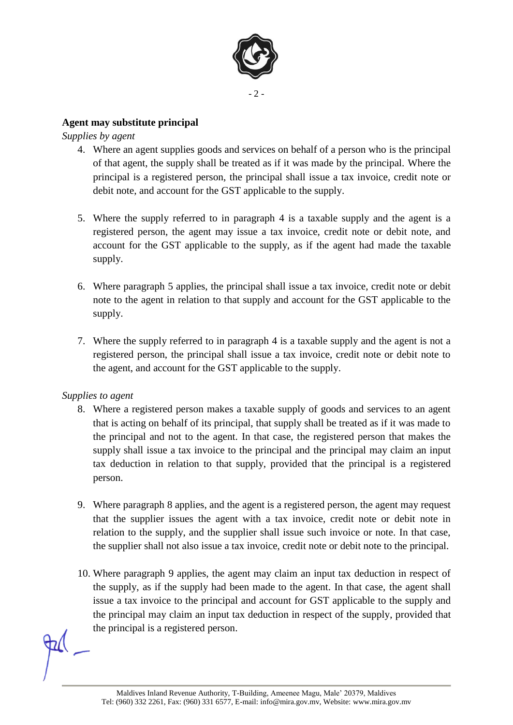

### **Agent may substitute principal**

<span id="page-1-0"></span>*Supplies by agent*

- 4. Where an agent supplies goods and services on behalf of a person who is the principal of that agent, the supply shall be treated as if it was made by the principal. Where the principal is a registered person, the principal shall issue a tax invoice, credit note or debit note, and account for the GST applicable to the supply.
- <span id="page-1-1"></span>5. Where the supply referred to in paragraph [4](#page-1-0) is a taxable supply and the agent is a registered person, the agent may issue a tax invoice, credit note or debit note, and account for the GST applicable to the supply, as if the agent had made the taxable supply.
- 6. Where paragraph [5](#page-1-1) applies, the principal shall issue a tax invoice, credit note or debit note to the agent in relation to that supply and account for the GST applicable to the supply.
- 7. Where the supply referred to in paragraph [4](#page-1-0) is a taxable supply and the agent is not a registered person, the principal shall issue a tax invoice, credit note or debit note to the agent, and account for the GST applicable to the supply.

#### <span id="page-1-2"></span>*Supplies to agent*

- 8. Where a registered person makes a taxable supply of goods and services to an agent that is acting on behalf of its principal, that supply shall be treated as if it was made to the principal and not to the agent. In that case, the registered person that makes the supply shall issue a tax invoice to the principal and the principal may claim an input tax deduction in relation to that supply, provided that the principal is a registered person.
- <span id="page-1-3"></span>9. Where paragraph [8](#page-1-2) applies, and the agent is a registered person, the agent may request that the supplier issues the agent with a tax invoice, credit note or debit note in relation to the supply, and the supplier shall issue such invoice or note. In that case, the supplier shall not also issue a tax invoice, credit note or debit note to the principal.
- 10. Where paragraph [9](#page-1-3) applies, the agent may claim an input tax deduction in respect of the supply, as if the supply had been made to the agent. In that case, the agent shall issue a tax invoice to the principal and account for GST applicable to the supply and the principal may claim an input tax deduction in respect of the supply, provided that the principal is a registered person.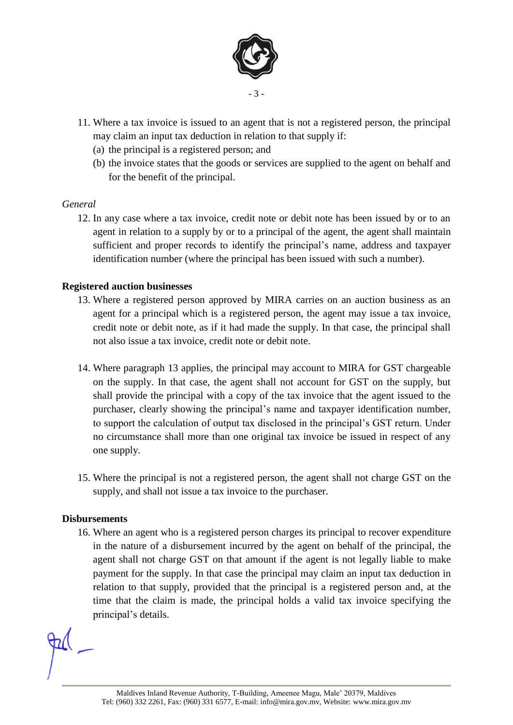

- 11. Where a tax invoice is issued to an agent that is not a registered person, the principal may claim an input tax deduction in relation to that supply if:
	- (a) the principal is a registered person; and
	- (b) the invoice states that the goods or services are supplied to the agent on behalf and for the benefit of the principal.

#### *General*

12. In any case where a tax invoice, credit note or debit note has been issued by or to an agent in relation to a supply by or to a principal of the agent, the agent shall maintain sufficient and proper records to identify the principal's name, address and taxpayer identification number (where the principal has been issued with such a number).

#### <span id="page-2-0"></span>**Registered auction businesses**

- 13. Where a registered person approved by MIRA carries on an auction business as an agent for a principal which is a registered person, the agent may issue a tax invoice, credit note or debit note, as if it had made the supply. In that case, the principal shall not also issue a tax invoice, credit note or debit note.
- 14. Where paragraph [13](#page-2-0) applies, the principal may account to MIRA for GST chargeable on the supply. In that case, the agent shall not account for GST on the supply, but shall provide the principal with a copy of the tax invoice that the agent issued to the purchaser, clearly showing the principal's name and taxpayer identification number, to support the calculation of output tax disclosed in the principal's GST return. Under no circumstance shall more than one original tax invoice be issued in respect of any one supply.
- 15. Where the principal is not a registered person, the agent shall not charge GST on the supply, and shall not issue a tax invoice to the purchaser.

#### **Disbursements**

16. Where an agent who is a registered person charges its principal to recover expenditure in the nature of a disbursement incurred by the agent on behalf of the principal, the agent shall not charge GST on that amount if the agent is not legally liable to make payment for the supply. In that case the principal may claim an input tax deduction in relation to that supply, provided that the principal is a registered person and, at the time that the claim is made, the principal holds a valid tax invoice specifying the principal's details.

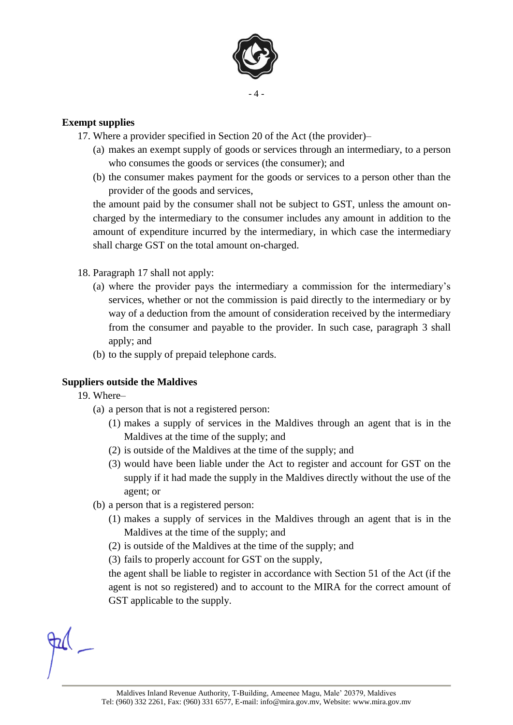

#### <span id="page-3-0"></span>**Exempt supplies**

- 17. Where a provider specified in Section 20 of the Act (the provider)–
	- (a) makes an exempt supply of goods or services through an intermediary, to a person who consumes the goods or services (the consumer); and
	- (b) the consumer makes payment for the goods or services to a person other than the provider of the goods and services,

the amount paid by the consumer shall not be subject to GST, unless the amount oncharged by the intermediary to the consumer includes any amount in addition to the amount of expenditure incurred by the intermediary, in which case the intermediary shall charge GST on the total amount on-charged.

- 18. Paragraph [17](#page-3-0) shall not apply:
	- (a) where the provider pays the intermediary a commission for the intermediary's services, whether or not the commission is paid directly to the intermediary or by way of a deduction from the amount of consideration received by the intermediary from the consumer and payable to the provider. In such case, paragraph [3](#page-0-0) shall apply; and
	- (b) to the supply of prepaid telephone cards.

#### **Suppliers outside the Maldives**

- 19. Where–
	- (a) a person that is not a registered person:
		- (1) makes a supply of services in the Maldives through an agent that is in the Maldives at the time of the supply; and
		- (2) is outside of the Maldives at the time of the supply; and
		- (3) would have been liable under the Act to register and account for GST on the supply if it had made the supply in the Maldives directly without the use of the agent; or
	- (b) a person that is a registered person:
		- (1) makes a supply of services in the Maldives through an agent that is in the Maldives at the time of the supply; and
		- (2) is outside of the Maldives at the time of the supply; and
		- (3) fails to properly account for GST on the supply,

the agent shall be liable to register in accordance with Section 51 of the Act (if the agent is not so registered) and to account to the MIRA for the correct amount of GST applicable to the supply.